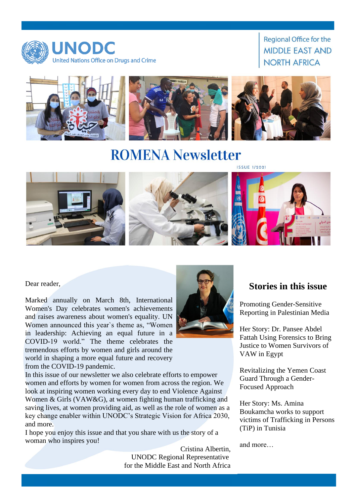

**Regional Office for the MIDDLE EAST AND NORTH AFRICA** 



**ROMENA Newsletter** 



Dear reader,

Marked annually on March 8th, International Women's Day celebrates women's achievements and raises awareness about women's equality. UN Women announced this year`s theme as, "Women in leadership: Achieving an equal future in a COVID-19 world." The theme celebrates the tremendous efforts by women and girls around the world in shaping a more equal future and recovery from the COVID-19 pandemic.

In this issue of our newsletter we also celebrate efforts to empower women and efforts by women for women from across the region. We look at inspiring women working every day to end Violence Against Women & Girls (VAW&G), at women fighting human trafficking and saving lives, at women providing aid, as well as the role of women as a key change enabler within UNODC's Strategic Vision for Africa 2030, and more.

I hope you enjoy this issue and that you share with us the story of a woman who inspires you!

> Cristina Albertin, UNODC Regional Representative for the Middle East and North Africa

### **Stories in this issue**

Promoting Gender-Sensitive Reporting in Palestinian Media

Her Story: Dr. Pansee Abdel Fattah Using Forensics to Bring Justice to Women Survivors of VAW in Egypt

Revitalizing the Yemen Coast Guard Through a Gender-Focused Approach

Her Story: Ms. Amina Boukamcha works to support victims of Trafficking in Persons (TiP) in Tunisia

and more…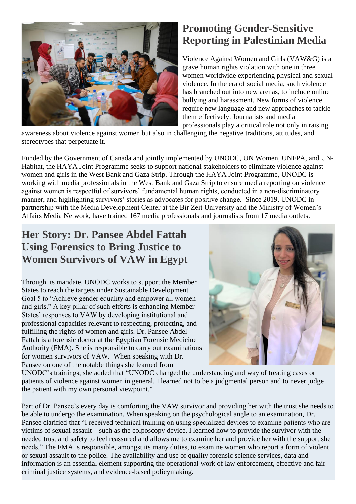

# **Promoting Gender-Sensitive Reporting in Palestinian Media**

Violence Against Women and Girls (VAW&G) is a grave human rights violation with one in three women worldwide experiencing physical and sexual violence. In the era of social media, such violence has branched out into new arenas, to include online bullying and harassment. New forms of violence require new language and new approaches to tackle them effectively. Journalists and media professionals play a critical role not only in raising

awareness about violence against women but also in challenging the negative traditions, attitudes, and stereotypes that perpetuate it.

Funded by the Government of Canada and jointly implemented by UNODC, UN Women, UNFPA, and UN-Habitat, the HAYA Joint Programme seeks to support national stakeholders to eliminate violence against women and girls in the West Bank and Gaza Strip. Through the HAYA Joint Programme, UNODC is working with media professionals in the West Bank and Gaza Strip to ensure media reporting on violence against women is respectful of survivors' fundamental human rights, conducted in a non-discriminatory manner, and highlighting survivors' stories as advocates for positive change. Since 2019, UNODC in partnership with the Media Development Center at the Bir Zeit University and the Ministry of Women's Affairs Media Network, have trained 167 media professionals and journalists from 17 media outlets.

## **Her Story: Dr. Pansee Abdel Fattah Using Forensics to Bring Justice to Women Survivors of VAW in Egypt**

Through its mandate, UNODC works to support the Member States to reach the targets under Sustainable Development Goal 5 to "Achieve gender equality and empower all women and girls." A key pillar of such efforts is enhancing Member States' responses to VAW by developing institutional and professional capacities relevant to respecting, protecting, and fulfilling the rights of women and girls. Dr. Pansee Abdel Fattah is a forensic doctor at the Egyptian Forensic Medicine Authority (FMA). She is responsible to carry out examinations for women survivors of VAW. When speaking with Dr. Pansee on one of the notable things she learned from



UNODC's trainings, she added that "UNODC changed the understanding and way of treating cases or patients of violence against women in general. I learned not to be a judgmental person and to never judge the patient with my own personal viewpoint."

Part of Dr. Pansee's every day is comforting the VAW survivor and providing her with the trust she needs to be able to undergo the examination. When speaking on the psychological angle to an examination, Dr. Pansee clarified that "I received technical training on using specialized devices to examine patients who are victims of sexual assault – such as the colposcopy device. I learned how to provide the survivor with the needed trust and safety to feel reassured and allows me to examine her and provide her with the support she needs." The FMA is responsible, amongst its many duties, to examine women who report a form of violent or sexual assault to the police. The availability and use of quality forensic science services, data and information is an essential element supporting the operational work of law enforcement, effective and fair criminal justice systems, and evidence-based policymaking.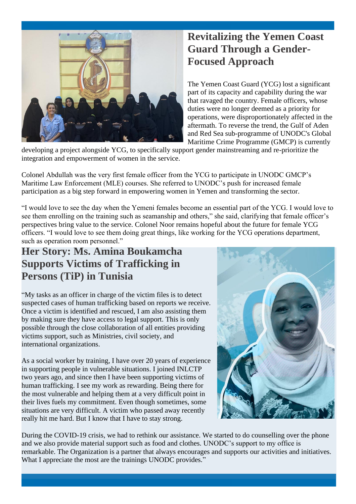

# **Revitalizing the Yemen Coast Guard Through a Gender-Focused Approach**

The Yemen Coast Guard (YCG) lost a significant part of its capacity and capability during the war that ravaged the country. Female officers, whose duties were no longer deemed as a priority for operations, were disproportionately affected in the aftermath. To reverse the trend, the Gulf of Aden and Red Sea sub-programme of UNODC's Global Maritime Crime Programme (GMCP) is currently

developing a project alongside YCG, to specifically support gender mainstreaming and re-prioritize the integration and empowerment of women in the service.

Colonel Abdullah was the very first female officer from the YCG to participate in UNODC GMCP's Maritime Law Enforcement (MLE) courses. She referred to UNODC's push for increased female participation as a big step forward in empowering women in Yemen and transforming the sector.

"I would love to see the day when the Yemeni females become an essential part of the YCG. I would love to see them enrolling on the training such as seamanship and others," she said, clarifying that female officer's perspectives bring value to the service. Colonel Noor remains hopeful about the future for female YCG officers. "I would love to see them doing great things, like working for the YCG operations department, such as operation room personnel."

### **Her Story: Ms. Amina Boukamcha Supports Victims of Trafficking in Persons (TiP) in Tunisia**

"My tasks as an officer in charge of the victim files is to detect suspected cases of human trafficking based on reports we receive. Once a victim is identified and rescued, I am also assisting them by making sure they have access to legal support. This is only possible through the close collaboration of all entities providing victims support, such as Ministries, civil society, and international organizations.

As a social worker by training, I have over 20 years of experience in supporting people in vulnerable situations. I joined INLCTP two years ago, and since then I have been supporting victims of human trafficking. I see my work as rewarding. Being there for the most vulnerable and helping them at a very difficult point in their lives fuels my commitment. Even though sometimes, some situations are very difficult. A victim who passed away recently really hit me hard. But I know that I have to stay strong.



During the COVID-19 crisis, we had to rethink our assistance. We started to do counselling over the phone and we also provide material support such as food and clothes. UNODC's support to my office is remarkable. The Organization is a partner that always encourages and supports our activities and initiatives. What I appreciate the most are the trainings UNODC provides."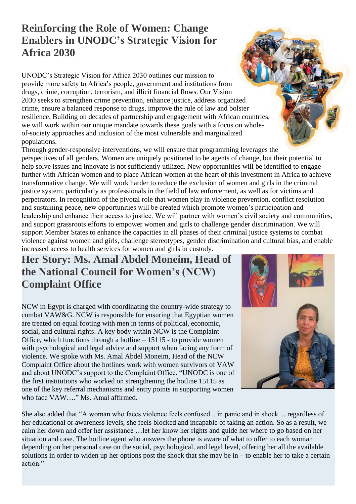# **Reinforcing the Role of Women: Change Enablers in UNODC's Strategic Vision for Africa 2030**

UNODC's Strategic Vision for Africa 2030 outlines our mission to provide more safety to Africa's people, government and institutions from drugs, crime, corruption, terrorism, and illicit financial flows. Our Vision 2030 seeks to strengthen crime prevention, enhance justice, address organized crime, ensure a balanced response to drugs, improve the rule of law and bolster resilience. Building on decades of partnership and engagement with African countries, we will work within our unique mandate towards these goals with a focus on wholeof-society approaches and inclusion of the most vulnerable and marginalized populations.

Through gender-responsive interventions, we will ensure that programming leverages the perspectives of all genders. Women are uniquely positioned to be agents of change, but their potential to help solve issues and innovate is not sufficiently utilized. New opportunities will be identified to engage further with African women and to place African women at the heart of this investment in Africa to achieve transformative change. We will work harder to reduce the exclusion of women and girls in the criminal justice system, particularly as professionals in the field of law enforcement, as well as for victims and perpetrators. In recognition of the pivotal role that women play in violence prevention, conflict resolution and sustaining peace, new opportunities will be created which promote women's participation and leadership and enhance their access to justice. We will partner with women's civil society and communities, and support grassroots efforts to empower women and girls to challenge gender discrimination. We will support Member States to enhance the capacities in all phases of their criminal justice systems to combat violence against women and girls, challenge stereotypes, gender discrimination and cultural bias, and enable increased access to health services for women and girls in custody.

#### **Her Story: Ms. Amal Abdel Moneim, Head of the National Council for Women's (NCW) Complaint Office**

NCW in Egypt is charged with coordinating the country-wide strategy to combat VAW&G. NCW is responsible for ensuring that Egyptian women are treated on equal footing with men in terms of political, economic, social, and cultural rights. A key body within NCW is the Complaint Office, which functions through a hotline – 15115 - to provide women with psychological and legal advice and support when facing any form of violence. We spoke with Ms. Amal Abdel Moneim, Head of the NCW Complaint Office about the hotlines work with women survivors of VAW and about UNODC's support to the Complaint Office. "UNODC is one of the first institutions who worked on strengthening the hotline 15115 as one of the key referral mechanisms and entry points in supporting women who face VAW…." Ms. Amal affirmed.



She also added that "A woman who faces violence feels confused... in panic and in shock ... regardless of her educational or awareness levels, she feels blocked and incapable of taking an action. So as a result, we calm her down and offer her assistance …let her know her rights and guide her where to go based on her situation and case. The hotline agent who answers the phone is aware of what to offer to each woman depending on her personal case on the social, psychological, and legal level, offering her all the available solutions in order to widen up her options post the shock that she may be in – to enable her to take a certain action."